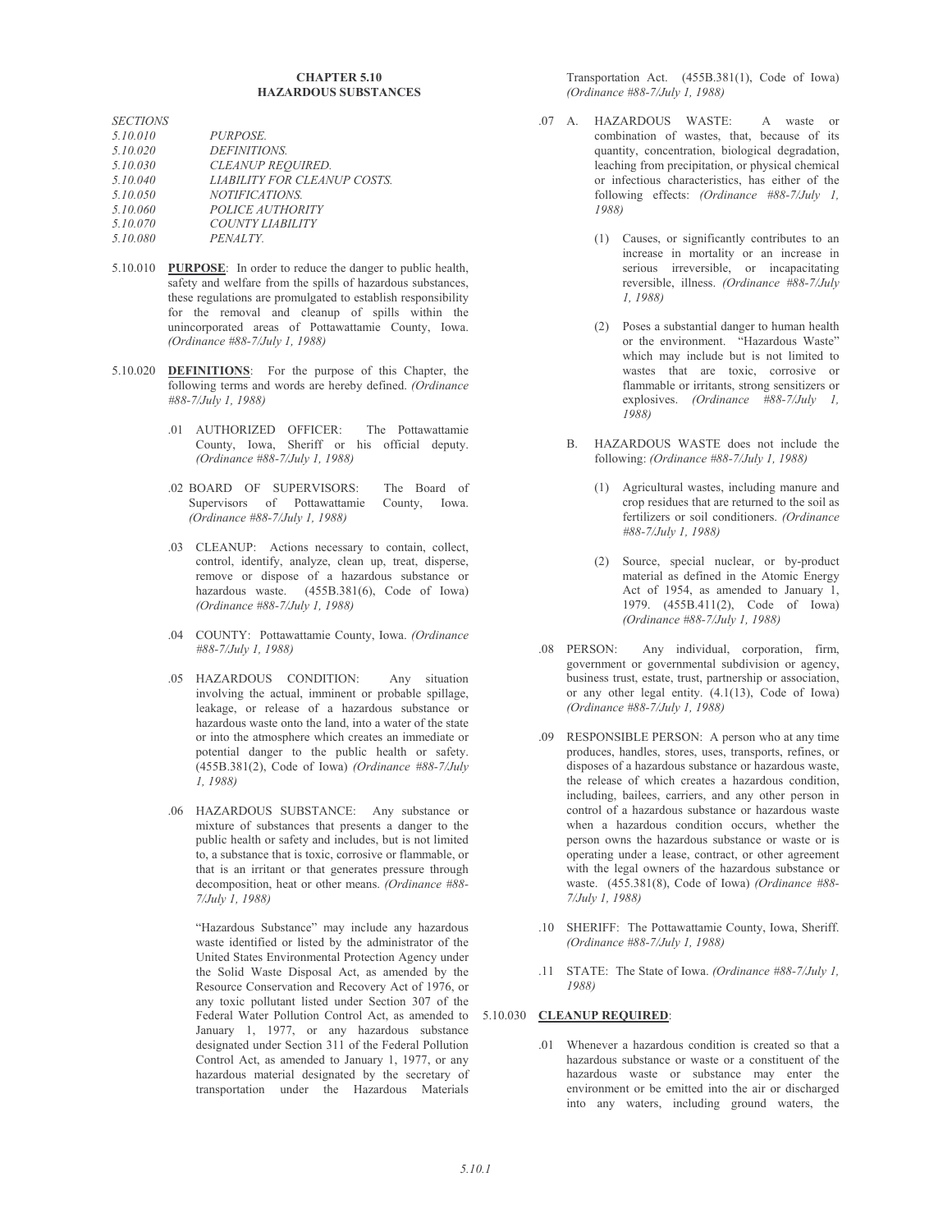## **CHAPTER 5.10 HAZARDOUS SUBSTANCES**

| <i>SECTIONS</i> |                                     |
|-----------------|-------------------------------------|
| 5.10.010        | PURPOSE.                            |
| 5.10.020        | DEFINITIONS.                        |
| 5.10.030        | CLEANUP REQUIRED.                   |
| 5.10.040        | <b>LIABILITY FOR CLEANUP COSTS.</b> |
| 5.10.050        | <i>NOTIFICATIONS.</i>               |
| 5.10.060        | POLICE AUTHORITY                    |
| 5.10.070        | COUNTY LIABILITY                    |
| 5.10.080        | PENALTY.                            |
|                 |                                     |

- 5.10.010 PURPOSE: In order to reduce the danger to public health, safety and welfare from the spills of hazardous substances, these regulations are promulgated to establish responsibility for the removal and cleanup of spills within the unincorporated areas of Pottawattamie County, Iowa. (Ordinance  $\#88-7/July$  1, 1988)
- 5.10.020 **DEFINITIONS**: For the purpose of this Chapter, the following terms and words are hereby defined. (Ordinance #88-7/July 1, 1988)
	- .01 AUTHORIZED OFFICER: The Pottawattamie County, Iowa, Sheriff or his official deputy. (Ordinance #88-7/July 1, 1988)
	- .02 BOARD OF SUPERVISORS: The Board of Supervisors of Pottawattamie County, Iowa. (Ordinance #88-7/July 1, 1988)
	- .03 CLEANUP: Actions necessary to contain, collect, control, identify, analyze, clean up, treat, disperse, remove or dispose of a hazardous substance or hazardous waste. (455B.381(6), Code of Iowa) (Ordinance #88-7/July 1, 1988)
	- .04 COUNTY: Pottawattamie County, Iowa. (Ordinance #88-7/July 1, 1988)
	- .05 HAZARDOUS CONDITION: Any situation involving the actual, imminent or probable spillage, leakage, or release of a hazardous substance or hazardous waste onto the land, into a water of the state or into the atmosphere which creates an immediate or potential danger to the public health or safety. (455B.381(2), Code of Iowa) (Ordinance  $\#88-7/July$ 1,1988)
	- .06 HAZARDOUS SUBSTANCE: Any substance or mixture of substances that presents a danger to the public health or safety and includes, but is not limited to, a substance that is toxic, corrosive or flammable, or that is an irritant or that generates pressure through decomposition, heat or other means. (Ordinance #88-7/July 1, 1988)

"Hazardous Substance" may include any hazardous waste identified or listed by the administrator of the United States Environmental Protection Agency under the Solid Waste Disposal Act, as amended by the Resource Conservation and Recovery Act of 1976, or any toxic pollutant listed under Section 307 of the Federal Water Pollution Control Act, as amended to 5.10.030 CLEANUP REQUIRED: January 1, 1977, or any hazardous substance designated under Section 311 of the Federal Pollution Control Act, as amended to January 1, 1977, or any hazardous material designated by the secretary of transportation under the Hazardous Materials

Transportation Act. (455B.381(1), Code of Iowa) (Ordinance #88-7/July 1, 1988)

- .07 A. HAZARDOUS WASTE: A waste or combination of wastes, that, because of its quantity, concentration, biological degradation, leaching from precipitation, or physical chemical or infectious characteristics, has either of the following effects: (Ordinance #88-7/July 1, 1988)
	- (1) Causes, or significantly contributes to an increase in mortality or an increase in serious irreversible, or incapacitating reversible, illness. (Ordinance #88-7/July  $1.1988$
	- (2) Poses a substantial danger to human health or the environment. "Hazardous Waste" which may include but is not limited to wastes that are toxic, corrosive or flammable or irritants, strong sensitizers or explosives. (Ordinance  $\#88-7/July$  1. 1988)
	- HAZARDOUS WASTE does not include the  $\mathbf{B}$ following: (Ordinance #88-7/July 1, 1988)
		- Agricultural wastes, including manure and crop residues that are returned to the soil as fertilizers or soil conditioners. (Ordinance #88-7/July 1, 1988)
		- (2) Source, special nuclear, or by-product material as defined in the Atomic Energy Act of 1954, as amended to January 1, 1979. (455B.411(2), Code of Iowa) (Ordinance #88-7/July 1, 1988)
- .08 PERSON: Any individual, corporation, firm, government or governmental subdivision or agency, business trust, estate, trust, partnership or association, or any other legal entity. (4.1(13), Code of Iowa) (Ordinance #88-7/July 1, 1988)
- .09 RESPONSIBLE PERSON: A person who at any time produces, handles, stores, uses, transports, refines, or disposes of a hazardous substance or hazardous waste. the release of which creates a hazardous condition, including, bailees, carriers, and any other person in control of a hazardous substance or hazardous waste when a hazardous condition occurs, whether the person owns the hazardous substance or waste or is operating under a lease, contract, or other agreement with the legal owners of the hazardous substance or waste.  $(455.381(8)$ , Code of Iowa) *(Ordinance* #88-7/July 1, 1988)
- .10 SHERIFF: The Pottawattamie County, Iowa, Sheriff. (Ordinance #88-7/July 1, 1988)
- .11 STATE: The State of Iowa. (Ordinance #88-7/July 1, 1988)

01 Whenever a hazardous condition is created so that a hazardous substance or waste or a constituent of the hazardous waste or substance may enter the environment or be emitted into the air or discharged into any waters, including ground waters, the